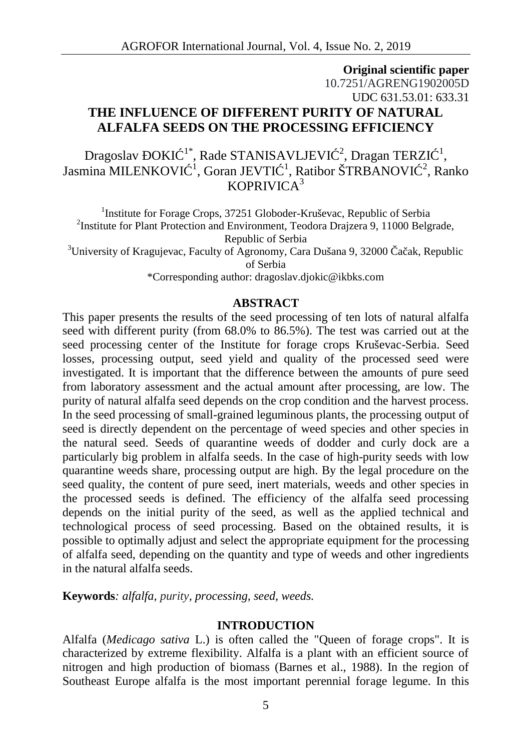# **Original scientific paper** 10.7251/AGRENG1902005D UDC 631.53.01: 633.31 **THE INFLUENCE OF DIFFERENT PURITY OF NATURAL ALFALFA SEEDS ON THE PROCESSING EFFICIENCY**

Dragoslav OKI $1^*$ , Rade STANISAVLJEVI $\frac{2}{3}$ , Dragan TERZI $1^1$ , , Jasmina MILENKOVI <sup>- 1</sup>, Goran JEVTI <sup>- 1</sup>, Ratibor ŠTRBANOVI <sup>- 2</sup>, Ranko KOPRIVICA $3$ 

<sup>1</sup>Institute for Forage Crops, 37251 Globoder-Kruševac, Republic of Serbia <sup>2</sup>Institute for Plant Protection and Environment, Teodora Drajzera 9, 11000 Belgrade, Republic of Serbia <sup>3</sup>University of Kragujevac, Faculty of Agronomy, Cara Dušana 9, 32000  $\alpha$  ak, Republic of Serbia \*Corresponding author: dragoslav.djokic@ikbks.com

#### **ABSTRACT**

This paper presents the results of the seed processing of ten lots of natural alfalfa seed with different purity (from 68.0% to 86.5%). The test was carried out at the seed processing center of the Institute for forage crops Kruševac-Serbia. Seed losses, processing output, seed yield and quality of the processed seed were investigated. It is important that the difference between the amounts of pure seed from laboratory assessment and the actual amount after processing, are low. The purity of natural alfalfa seed depends on the crop condition and the harvest process. In the seed processing of small-grained leguminous plants, the processing output of seed is directly dependent on the percentage of weed species and other species in the natural seed. Seeds of quarantine weeds of dodder and curly dock are a particularly big problem in alfalfa seeds. In the case of high-purity seeds with low quarantine weeds share, processing output are high. By the legal procedure on the seed quality, the content of pure seed, inert materials, weeds and other species in the processed seeds is defined. The efficiency of the alfalfa seed processing depends on the initial purity of the seed, as well as the applied technical and technological process of seed processing. Based on the obtained results, it is possible to optimally adjust and select the appropriate equipment for the processing of alfalfa seed, depending on the quantity and type of weeds and other ingredients in the natural alfalfa seeds.

**Keywords***: alfalfa, purity, processing, seed, weeds.*

#### **INTRODUCTION**

Alfalfa (*Medicago sativa* L.) is often called the "Queen of forage crops". It is characterized by extreme flexibility. Alfalfa is a plant with an efficient source of nitrogen and high production of biomass (Barnes et al., 1988). In the region of Southeast Europe alfalfa is the most important perennial forage legume. In this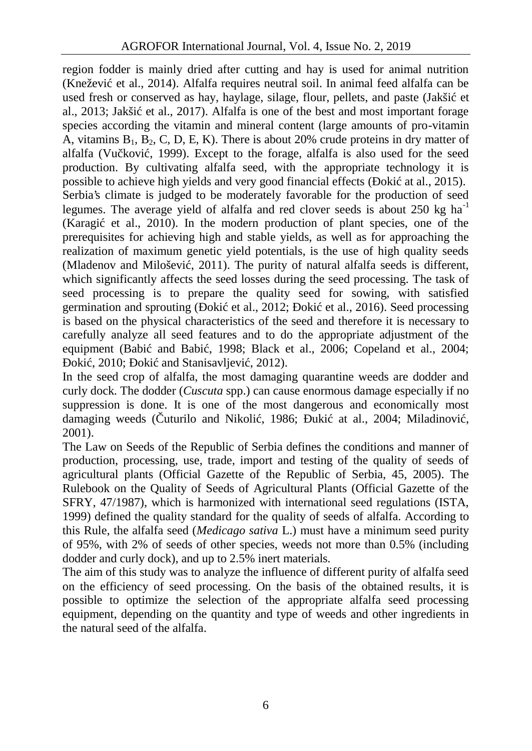region fodder is mainly dried after cutting and hay is used for animal nutrition (Knežević et al., 2014). Alfalfa requires neutral soil. In animal feed alfalfa can be used fresh or conserved as hay, haylage, silage, flour, pellets, and paste (Jakši et al., 2013; Jakši et al., 2017). Alfalfa is one of the best and most important forage species according the vitamin and mineral content (large amounts of pro-vitamin A, vitamins  $B_1, B_2, C, D, E, K$ ). There is about 20% crude proteins in dry matter of alfalfa (Vu kovi), 1999). Except to the forage, alfalfa is also used for the seed production. By cultivating alfalfa seed, with the appropriate technology it is possible to achieve high yields and very good financial effects ( $\alpha$ ki at al., 2015). Serbia's climate is judged to be moderately favorable for the production of seed legumes. The average yield of alfalfa and red clover seeds is about 250 kg ha<sup>-1</sup> (Karagi et al., 2010). In the modern production of plant species, one of the prerequisites for achieving high and stable yields, as well as for approaching the realization of maximum genetic yield potentials, is the use of high quality seeds (Mladenov and Miloševi, 2011). The purity of natural alfalfa seeds is different, which significantly affects the seed losses during the seed processing. The task of seed processing is to prepare the quality seed for sowing, with satisfied germination and sprouting ( $\alpha$ ki et al., 2012;  $\alpha$ ki et al., 2016). Seed processing is based on the physical characteristics of the seed and therefore it is necessary to carefully analyze all seed features and to do the appropriate adjustment of the equipment (Babi and Babi, 1998; Black et al., 2006; Copeland et al., 2004; oki, 2010; oki and Stanisavljevi, 2012).

In the seed crop of alfalfa, the most damaging quarantine weeds are dodder and curly dock. The dodder (*Cuscuta* spp.) can cause enormous damage especially if no suppression is done. It is one of the most dangerous and economically most damaging weeds ( $\mu$ turilo and Nikoli, 1986;  $\mu$ ki at al., 2004; Miladinovi, 2001).

The Law on Seeds of the Republic of Serbia defines the conditions and manner of production, processing, use, trade, import and testing of the quality of seeds of agricultural plants (Official Gazette of the Republic of Serbia, 45, 2005). The Rulebook on the Quality of Seeds of Agricultural Plants (Official Gazette of the SFRY, 47/1987), which is harmonized with international seed regulations (ISTA, 1999) defined the quality standard for the quality of seeds of alfalfa. According to this Rule, the alfalfa seed (*Medicago sativa* L.) must have a minimum seed purity of 95%, with 2% of seeds of other species, weeds not more than 0.5% (including dodder and curly dock), and up to 2.5% inert materials.

The aim of this study was to analyze the influence of different purity of alfalfa seed on the efficiency of seed processing. On the basis of the obtained results, it is possible to optimize the selection of the appropriate alfalfa seed processing equipment, depending on the quantity and type of weeds and other ingredients in the natural seed of the alfalfa.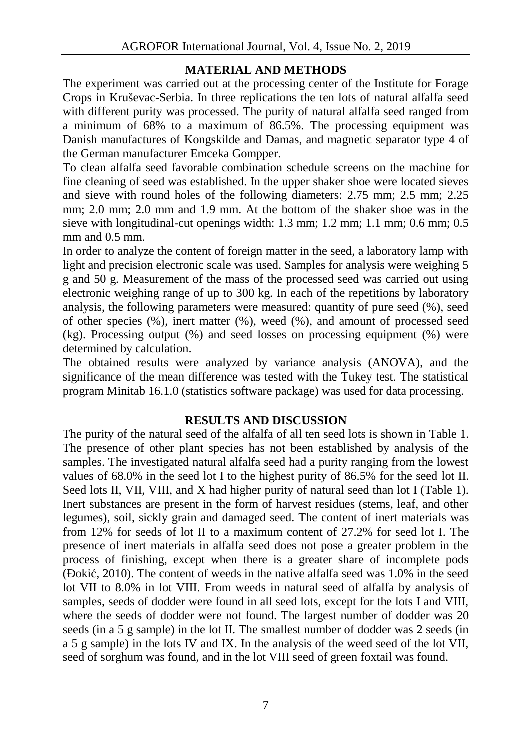### **MATERIAL AND METHODS**

The experiment was carried out at the processing center of the Institute for Forage Crops in Kruševac-Serbia. In three replications the ten lots of natural alfalfa seed with different purity was processed. The purity of natural alfalfa seed ranged from a minimum of 68% to a maximum of 86.5%. The processing equipment was Danish manufactures of Kongskilde and Damas, and magnetic separator type 4 of the German manufacturer Emceka Gompper.

To clean alfalfa seed favorable combination schedule screens on the machine for fine cleaning of seed was established. In the upper shaker shoe were located sieves and sieve with round holes of the following diameters: 2.75 mm; 2.5 mm; 2.25 mm; 2.0 mm; 2.0 mm and 1.9 mm. At the bottom of the shaker shoe was in the sieve with longitudinal-cut openings width: 1.3 mm; 1.2 mm; 1.1 mm; 0.6 mm; 0.5 mm and  $0.5$  mm.

In order to analyze the content of foreign matter in the seed, a laboratory lamp with light and precision electronic scale was used. Samples for analysis were weighing 5 g and 50 g. Measurement of the mass of the processed seed was carried out using electronic weighing range of up to 300 kg. In each of the repetitions by laboratory analysis, the following parameters were measured: quantity of pure seed (%), seed of other species (%), inert matter (%), weed (%), and amount of processed seed (kg). Processing output (%) and seed losses on processing equipment (%) were determined by calculation.

The obtained results were analyzed by variance analysis (ANOVA), and the significance of the mean difference was tested with the Tukey test. The statistical program Minitab 16.1.0 (statistics software package) was used for data processing.

# **RESULTS AND DISCUSSION**

The purity of the natural seed of the alfalfa of all ten seed lots is shown in Table 1. The presence of other plant species has not been established by analysis of the samples. The investigated natural alfalfa seed had a purity ranging from the lowest values of 68.0% in the seed lot I to the highest purity of 86.5% for the seed lot II. Seed lots II, VII, VIII, and X had higher purity of natural seed than lot I (Table 1). Inert substances are present in the form of harvest residues (stems, leaf, and other legumes), soil, sickly grain and damaged seed. The content of inert materials was from 12% for seeds of lot II to a maximum content of 27.2% for seed lot I. The presence of inert materials in alfalfa seed does not pose a greater problem in the process of finishing, except when there is a greater share of incomplete pods  $\mu$  oki, 2010). The content of weeds in the native alfalfa seed was 1.0% in the seed lot VII to 8.0% in lot VIII. From weeds in natural seed of alfalfa by analysis of samples, seeds of dodder were found in all seed lots, except for the lots I and VIII, where the seeds of dodder were not found. The largest number of dodder was 20 seeds (in a 5 g sample) in the lot II. The smallest number of dodder was 2 seeds (in a 5 g sample) in the lots IV and IX. In the analysis of the weed seed of the lot VII, seed of sorghum was found, and in the lot VIII seed of green foxtail was found.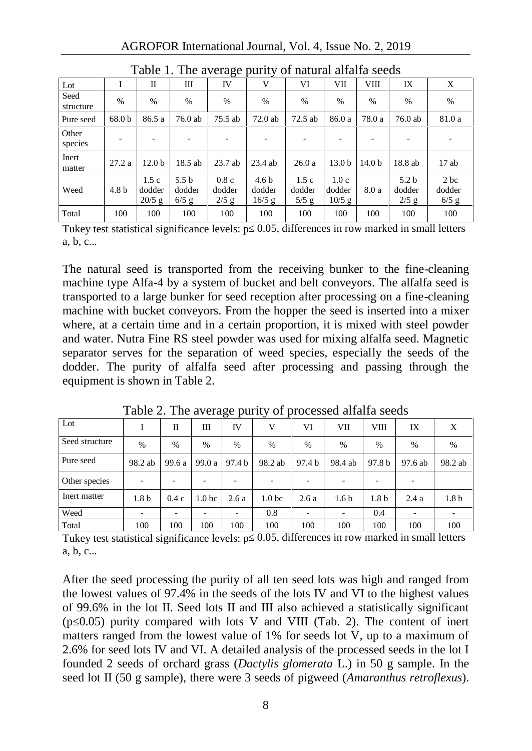| Table 1. The average partly of hataral amaria secus |                   |                            |                                       |                           |                                        |                           |                            |                   |                                       |                           |
|-----------------------------------------------------|-------------------|----------------------------|---------------------------------------|---------------------------|----------------------------------------|---------------------------|----------------------------|-------------------|---------------------------------------|---------------------------|
| $_{\rm Lot}$                                        |                   | П                          | Ш                                     | IV                        | V                                      | VI                        | VІІ                        | VIII              | IX                                    | X                         |
| Seed<br>structure                                   | $\%$              | $\frac{0}{0}$              | $\frac{0}{0}$                         | $\%$                      | $\%$                                   | $\frac{0}{0}$             | $\frac{0}{0}$              | $\%$              | $\%$                                  | $\%$                      |
| Pure seed                                           | 68.0 <sub>b</sub> | 86.5 a                     | 76.0 ab                               | 75.5 ab                   | 72.0ab                                 | 72.5 ab                   | 86.0 a                     | 78.0 a            | $76.0$ ab                             | 81.0 a                    |
| Other<br>species                                    |                   |                            |                                       |                           | ۰                                      |                           |                            |                   |                                       |                           |
| Inert<br>matter                                     | 27.2a             | 12.0 <sub>b</sub>          | 18.5 ab                               | $23.7$ ab                 | 23.4 ab                                | 26.0a                     | 13.0 <sub>b</sub>          | 14.0 <sub>b</sub> | 18.8 ab                               | 17ab                      |
| Weed                                                | 4.8 <sub>b</sub>  | 1.5c<br>dodder<br>$20/5$ g | 5.5 <sub>b</sub><br>dodder<br>$6/5$ g | 0.8c<br>dodder<br>$2/5$ g | 4.6 <sub>b</sub><br>dodder<br>$16/5$ g | 1.5c<br>dodder<br>$5/5$ g | 1.0c<br>dodder<br>$10/5$ g | 8.0 a             | 5.2 <sub>b</sub><br>dodder<br>$2/5$ g | 2 bc<br>dodder<br>$6/5$ g |
| Total                                               | 100               | 100                        | 100                                   | 100                       | 100                                    | 100                       | 100                        | 100               | 100                                   | 100                       |

Table 1. The average purity of natural alfalfa seeds

Tukey test statistical significance levels: p 0.05, differences in row marked in small letters a, b, c...

The natural seed is transported from the receiving bunker to the fine-cleaning machine type Alfa-4 by a system of bucket and belt conveyors. The alfalfa seed is transported to a large bunker for seed reception after processing on a fine-cleaning machine with bucket conveyors. From the hopper the seed is inserted into a mixer where, at a certain time and in a certain proportion, it is mixed with steel powder and water. Nutra Fine RS steel powder was used for mixing alfalfa seed. Magnetic separator serves for the separation of weed species, especially the seeds of the dodder. The purity of alfalfa seed after processing and passing through the equipment is shown in Table 2.

| Lot            |                          | П        | Ш                 | IV     | V                 | VI     | VII              | VIII             | IX      | X                |
|----------------|--------------------------|----------|-------------------|--------|-------------------|--------|------------------|------------------|---------|------------------|
| Seed structure | $\%$                     | $\%$     | $\frac{0}{0}$     | %      | $\%$              | $\%$   | $\%$             | $\frac{0}{0}$    | $\%$    | $\%$             |
| Pure seed      | 98.2 ab                  | 99.6 a l | 99.0 a            | 97.4 b | 98.2 ab           | 97.4 b | 98.4 ab          | 97.8 b           | 97.6 ab | 98.2 ab          |
| Other species  | $\overline{\phantom{a}}$ |          |                   |        | ٠                 | ۰      |                  | ٠                | ٠       |                  |
| Inert matter   | 1.8 <sub>b</sub>         | 0.4c     | 1.0 <sub>bc</sub> | 2.6a   | 1.0 <sub>bc</sub> | 2.6a   | 1.6 <sub>b</sub> | 1.8 <sub>b</sub> | 2.4a    | 1.8 <sub>b</sub> |
| Weed           | $\overline{\phantom{a}}$ | -        |                   | ٠      | 0.8               | ۰      | ۰                | 0.4              |         | ۰.               |
| Total          | 100                      | 100      | 100               | 100    | 100               | 100    | 100              | 100              | 100     | 100              |

Table 2. The average purity of processed alfalfa seeds

Tukey test statistical significance levels:  $p = 0.05$ , differences in row marked in small letters a, b, c...

After the seed processing the purity of all ten seed lots was high and ranged from the lowest values of 97.4% in the seeds of the lots IV and VI to the highest values of 99.6% in the lot II. Seed lots II and III also achieved a statistically significant  $(p<sub>0.05</sub>)$  purity compared with lots V and VIII (Tab. 2). The content of inert matters ranged from the lowest value of 1% for seeds lot V, up to a maximum of 2.6% for seed lots IV and VI. A detailed analysis of the processed seeds in the lot I founded 2 seeds of orchard grass (*Dactylis glomerata* L.) in 50 g sample. In the seed lot II (50 g sample), there were 3 seeds of pigweed (*Amaranthus retroflexus*).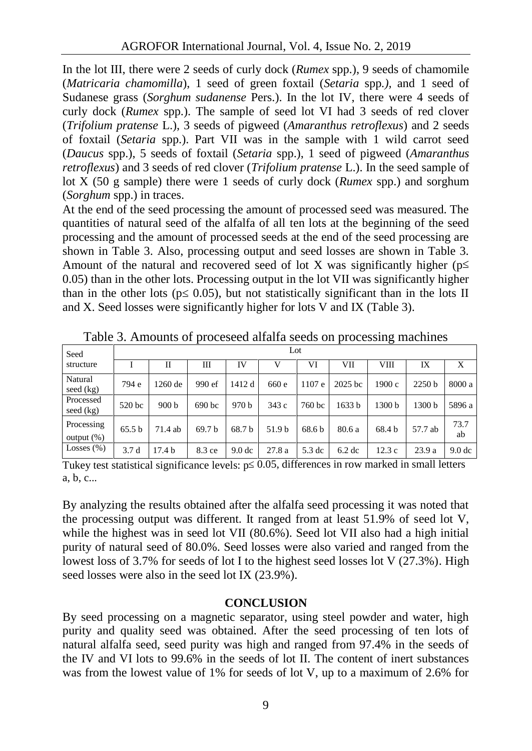In the lot III, there were 2 seeds of curly dock (*Rumex* spp.), 9 seeds of chamomile (*Matricaria chamomilla*), 1 seed of green foxtail (*Setaria* spp*.),* and 1 seed of Sudanese grass (*Sorghum sudanense* Pers.). In the lot IV, there were 4 seeds of curly dock (*Rumex* spp.). The sample of seed lot VI had 3 seeds of red clover (*Trifolium pratense* L.), 3 seeds of pigweed (*Amaranthus retroflexus*) and 2 seeds of foxtail (*Setaria* spp.). Part VII was in the sample with 1 wild carrot seed (*Daucus* spp.), 5 seeds of foxtail (*Setaria* spp.), 1 seed of pigweed (*Amaranthus retroflexus*) and 3 seeds of red clover (*Trifolium pratense* L.). In the seed sample of lot X (50 g sample) there were 1 seeds of curly dock (*Rumex* spp.) and sorghum (*Sorghum* spp.) in traces.

At the end of the seed processing the amount of processed seed was measured. The quantities of natural seed of the alfalfa of all ten lots at the beginning of the seed processing and the amount of processed seeds at the end of the seed processing are shown in Table 3. Also, processing output and seed losses are shown in Table 3. Amount of the natural and recovered seed of lot X was significantly higher (p 0.05) than in the other lots. Processing output in the lot VII was significantly higher than in the other lots (p $(0.05)$ , but not statistically significant than in the lots II and X. Seed losses were significantly higher for lots V and IX (Table 3).

| Seed                        | Lot    |                  |                   |                   |        |                   |                   |        |         |                   |  |
|-----------------------------|--------|------------------|-------------------|-------------------|--------|-------------------|-------------------|--------|---------|-------------------|--|
| structure                   |        | Н                | Ш                 | IV                |        | VI                | VII               | VШ     | IX      | X                 |  |
| Natural<br>seed $(kg)$      | 794 e  | 1260 de          | 990 ef            | 1412 d            | 660 e  | 1107 e            | $2025$ bc         | 1900 с | 2250 b  | 8000 a            |  |
| Processed<br>seed $(kg)$    | 520 bc | 900 <sub>b</sub> | 690 bc            | 970 b             | 343c   | 760 bc            | 1633 b            | 1300 b | 1300 b  | 5896 a            |  |
| Processing<br>output $(\%)$ | 65.5 b | 71.4 ab          | 69.7 <sub>b</sub> | 68.7 b            | 51.9 b | 68.6 <sub>b</sub> | 80.6 a            | 68.4 b | 57.7 ab | 73.7<br>ab        |  |
| Losses $(\%)$               | 3.7d   | 17.4 b           | 8.3 ce            | 9.0 <sub>dc</sub> | 27.8a  | 5.3 dc            | 6.2 <sub>dc</sub> | 12.3c  | 23.9a   | 9.0 <sub>dc</sub> |  |

Table 3. Amounts of proceseed alfalfa seeds on processing machines

Tukey test statistical significance levels:  $p \quad 0.05$ , differences in row marked in small letters a, b, c...

By analyzing the results obtained after the alfalfa seed processing it was noted that the processing output was different. It ranged from at least 51.9% of seed lot V, while the highest was in seed lot VII (80.6%). Seed lot VII also had a high initial purity of natural seed of 80.0%. Seed losses were also varied and ranged from the lowest loss of 3.7% for seeds of lot I to the highest seed losses lot V (27.3%). High seed losses were also in the seed lot IX (23.9%).

# **CONCLUSION**

By seed processing on a magnetic separator, using steel powder and water, high purity and quality seed was obtained. After the seed processing of ten lots of natural alfalfa seed, seed purity was high and ranged from 97.4% in the seeds of the IV and VI lots to 99.6% in the seeds of lot II. The content of inert substances was from the lowest value of 1% for seeds of lot V, up to a maximum of 2.6% for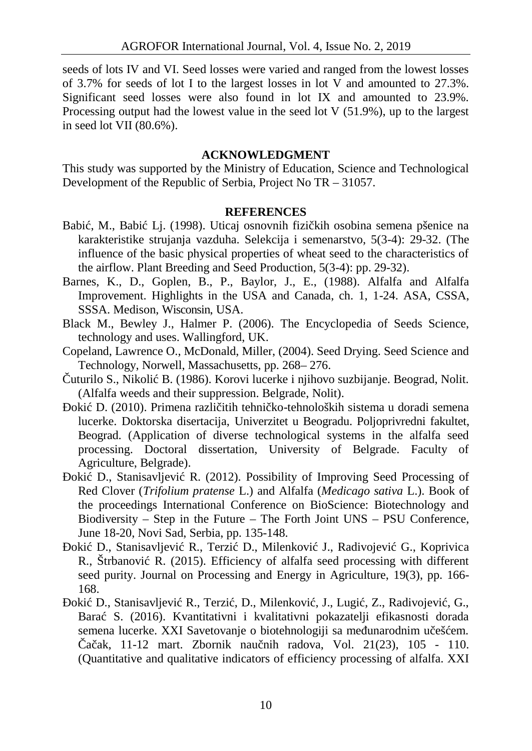seeds of lots IV and VI. Seed losses were varied and ranged from the lowest losses of 3.7% for seeds of lot I to the largest losses in lot V and amounted to 27.3%. Significant seed losses were also found in lot IX and amounted to 23.9%. Processing output had the lowest value in the seed lot V (51.9%), up to the largest in seed lot VII (80.6%).

### **ACKNOWLEDGMENT**

This study was supported by the Ministry of Education, Science and Technological Development of the Republic of Serbia, Project No TR – 31057.

#### **REFERENCES**

- Babi, M., Babi Lj. (1998). Uticaj osnovnih fizi kih osobina semena pšenice na karakteristike strujanja vazduha. Selekcija i semenarstvo, 5(3-4): 29-32. (The influence of the basic physical properties of wheat seed to the characteristics of the airflow. Plant Breeding and Seed Production, 5(3-4): pp. 29-32).
- Barnes, K., D., Goplen, B., P., Baylor, J., E., (1988). Alfalfa and Alfalfa Improvement. Highlights in the USA and Canada, ch. 1, 1-24. ASA, CSSA, SSSA. Medison, Wisconsin, USA.
- Black M., Bewley J., Halmer P. (2006). The Encyclopedia of Seeds Science, technology and uses. Wallingford, UK.
- Copeland, Lawrence O., McDonald, Miller, (2004). Seed Drying. Seed Science and Technology, Norwell, Massachusetts, pp. 268– 276.
	- uturilo S., Nikoli B. (1986). Korovi lucerke i njihovo suzbijanje. Beograd, Nolit. (Alfalfa weeds and their suppression. Belgrade, Nolit).
	- oki D. (2010). Primena razli itih tehni ko-tehnoloških sistema u doradi semena lucerke. Doktorska disertacija, Univerzitet u Beogradu. Poljoprivredni fakultet, Beograd. (Application of diverse technological systems in the alfalfa seed processing. Doctoral dissertation, University of Belgrade. Faculty of Agriculture, Belgrade).
	- oki D., Stanisavljevi R. (2012). Possibility of Improving Seed Processing of Red Clover (*Trifolium pratense* L.) and Alfalfa (*Medicago sativa* L.). Book of the proceedings International Conference on BioScience: Biotechnology and Biodiversity – Step in the Future – The Forth Joint UNS – PSU Conference, June 18-20, Novi Sad, Serbia, pp. 135-148.
	- oki D., Stanisavljevi R., Terzi D., Milenkovi J., Radivojevi G., Koprivica R., Štrbanovi R. (2015). Efficiency of alfalfa seed processing with different seed purity. Journal on Processing and Energy in Agriculture, 19(3), pp. 166- 168.
	- oki D., Stanisavljevi R., Terzi, D., Milenkovi, J., Lugi, Z., Radivojevi, G., Barać S. (2016). Kvantitativni i kvalitativni pokazatelji efikasnosti dorada semena lucerke. XXI Savetovanje o biotehnologiji sa me unarodnim u ešem. a ak, 11-12 mart. Zbornik nau nih radova, Vol. 21(23), 105 - 110. (Quantitative and qualitative indicators of efficiency processing of alfalfa. XXI